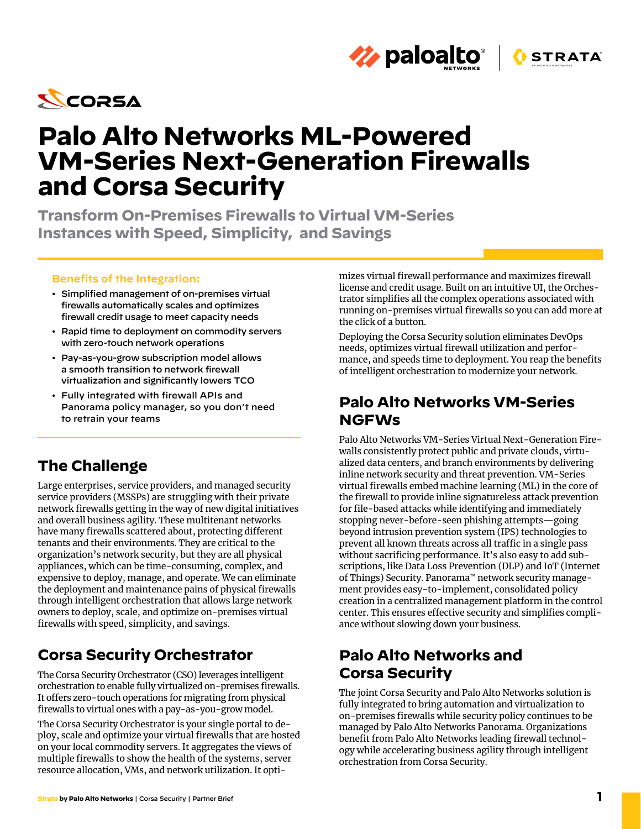

# **Palo Alto Networks ML-Powered VM-Series Next-Generation Firewalls and Corsa Security**

**Transform On-Premises Firewalls to Virtual VM-Series Instances with Speed, Simplicity, and Savings**

#### **Benefits of the Integration:**

- Simplified management of on-premises virtual firewalls automatically scales and optimizes firewall credit usage to meet capacity needs
- Rapid time to deployment on commodity servers with zero-touch network operations
- Pay-as-you-grow subscription model allows a smooth transition to network firewall virtualization and significantly lowers TCO
- Fully integrated with firewall APIs and Panorama policy manager, so you don't need to retrain your teams

### **The Challenge**

Large enterprises, service providers, and managed security service providers (MSSPs) are struggling with their private network firewalls getting in the way of new digital initiatives and overall business agility. These multitenant networks have many firewalls scattered about, protecting different tenants and their environments. They are critical to the organization's network security, but they are all physical appliances, which can be time-consuming, complex, and expensive to deploy, manage, and operate. We can eliminate the deployment and maintenance pains of physical firewalls through intelligent orchestration that allows large network owners to deploy, scale, and optimize on-premises virtual firewalls with speed, simplicity, and savings.

### **Corsa Security Orchestrator**

The Corsa Security Orchestrator (CSO) leverages intelligent orchestration to enable fully virtualized on-premises firewalls. It offers zero-touch operations for migrating from physical firewalls to virtual ones with a pay-as-you-grow model.

The Corsa Security Orchestrator is your single portal to deploy, scale and optimize your virtual firewalls that are hosted on your local commodity servers. It aggregates the views of multiple firewalls to show the health of the systems, server resource allocation, VMs, and network utilization. It optimizes virtual firewall performance and maximizes firewall license and credit usage. Built on an intuitive UI, the Orchestrator simplifies all the complex operations associated with running on-premises virtual firewalls so you can add more at the click of a button.

**STRATA** 

**Z** paloalto<sup>®</sup>

Deploying the Corsa Security solution eliminates DevOps needs, optimizes virtual firewall utilization and performance, and speeds time to deployment. You reap the benefits of intelligent orchestration to modernize your network.

### **Palo Alto Networks VM-Series NGFWs**

Palo Alto Networks VM-Series Virtual Next-Generation Firewalls consistently protect public and private clouds, virtualized data centers, and branch environments by delivering inline network security and threat prevention. VM-Series virtual firewalls embed machine learning (ML) in the core of the firewall to provide inline signatureless attack prevention for file-based attacks while identifying and immediately stopping never-before-seen phishing attempts—going beyond intrusion prevention system (IPS) technologies to prevent all known threats across all traffic in a single pass without sacrificing performance. It's also easy to add subscriptions, like Data Loss Prevention (DLP) and IoT (Internet of Things) Security. Panorama™ network security management provides easy-to-implement, consolidated policy creation in a centralized management platform in the control center. This ensures effective security and simplifies compliance without slowing down your business.

### **Palo Alto Networks and Corsa Security**

The joint Corsa Security and Palo Alto Networks solution is fully integrated to bring automation and virtualization to on-premises firewalls while security policy continues to be managed by Palo Alto Networks Panorama. Organizations benefit from Palo Alto Networks leading firewall technology while accelerating business agility through intelligent orchestration from Corsa Security.